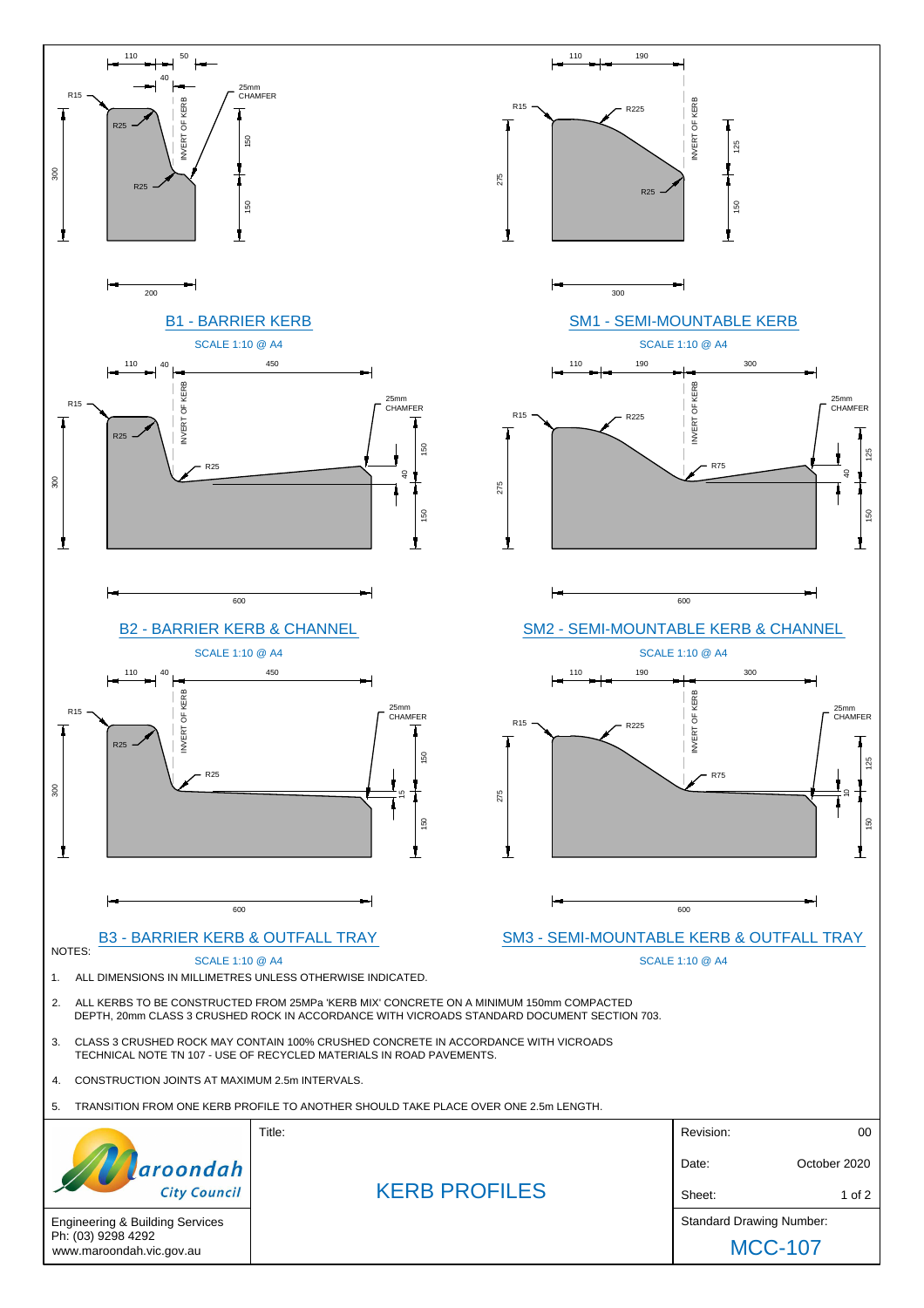